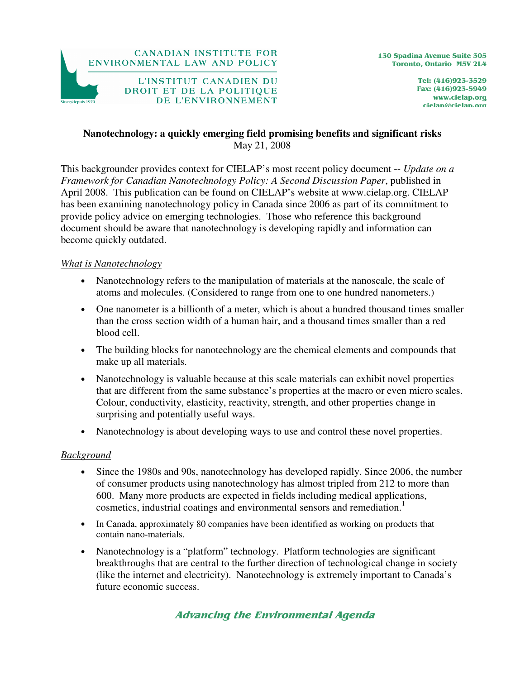

Tel: (416)923-3529 Fax: (416)923-5949 www.cielap.org cielap@cielap.org

## **Nanotechnology: a quickly emerging field promising benefits and significant risks**  May 21, 2008

This backgrounder provides context for CIELAP's most recent policy document -- *Update on a Framework for Canadian Nanotechnology Policy: A Second Discussion Paper*, published in April 2008. This publication can be found on CIELAP's website at www.cielap.org. CIELAP has been examining nanotechnology policy in Canada since 2006 as part of its commitment to provide policy advice on emerging technologies. Those who reference this background document should be aware that nanotechnology is developing rapidly and information can become quickly outdated.

## *What is Nanotechnology*

- Nanotechnology refers to the manipulation of materials at the nanoscale, the scale of atoms and molecules. (Considered to range from one to one hundred nanometers.)
- One nanometer is a billionth of a meter, which is about a hundred thousand times smaller than the cross section width of a human hair, and a thousand times smaller than a red blood cell.
- The building blocks for nanotechnology are the chemical elements and compounds that make up all materials.
- Nanotechnology is valuable because at this scale materials can exhibit novel properties that are different from the same substance's properties at the macro or even micro scales. Colour, conductivity, elasticity, reactivity, strength, and other properties change in surprising and potentially useful ways.
- Nanotechnology is about developing ways to use and control these novel properties.

#### *Background*

- Since the 1980s and 90s, nanotechnology has developed rapidly. Since 2006, the number of consumer products using nanotechnology has almost tripled from 212 to more than 600. Many more products are expected in fields including medical applications, cosmetics, industrial coatings and environmental sensors and remediation.<sup>1</sup>
- In Canada, approximately 80 companies have been identified as working on products that contain nano-materials.
- Nanotechnology is a "platform" technology. Platform technologies are significant breakthroughs that are central to the further direction of technological change in society (like the internet and electricity). Nanotechnology is extremely important to Canada's future economic success.

# Advancing the Environmental Agenda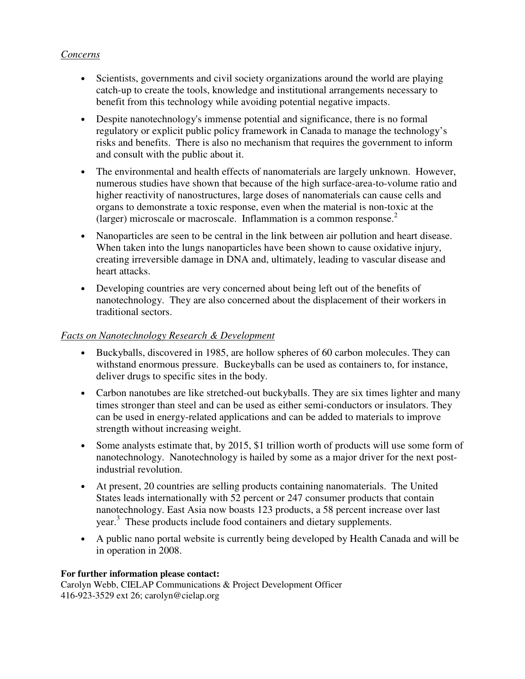## *Concerns*

- Scientists, governments and civil society organizations around the world are playing catch-up to create the tools, knowledge and institutional arrangements necessary to benefit from this technology while avoiding potential negative impacts.
- Despite nanotechnology's immense potential and significance, there is no formal regulatory or explicit public policy framework in Canada to manage the technology's risks and benefits. There is also no mechanism that requires the government to inform and consult with the public about it.
- The environmental and health effects of nanomaterials are largely unknown. However, numerous studies have shown that because of the high surface-area-to-volume ratio and higher reactivity of nanostructures, large doses of nanomaterials can cause cells and organs to demonstrate a toxic response, even when the material is non-toxic at the (larger) microscale or macroscale. Inflammation is a common response.<sup>2</sup>
- Nanoparticles are seen to be central in the link between air pollution and heart disease. When taken into the lungs nanoparticles have been shown to cause oxidative injury, creating irreversible damage in DNA and, ultimately, leading to vascular disease and heart attacks.
- Developing countries are very concerned about being left out of the benefits of nanotechnology. They are also concerned about the displacement of their workers in traditional sectors.

## *Facts on Nanotechnology Research & Development*

- Buckyballs, discovered in 1985, are hollow spheres of 60 carbon molecules. They can withstand enormous pressure. Buckeyballs can be used as containers to, for instance, deliver drugs to specific sites in the body.
- Carbon nanotubes are like stretched-out buckyballs. They are six times lighter and many times stronger than steel and can be used as either semi-conductors or insulators. They can be used in energy-related applications and can be added to materials to improve strength without increasing weight.
- Some analysts estimate that, by 2015, \$1 trillion worth of products will use some form of nanotechnology. Nanotechnology is hailed by some as a major driver for the next postindustrial revolution.
- At present, 20 countries are selling products containing nanomaterials. The United States leads internationally with 52 percent or 247 consumer products that contain nanotechnology. East Asia now boasts 123 products, a 58 percent increase over last year.<sup>3</sup> These products include food containers and dietary supplements.
- A public nano portal website is currently being developed by Health Canada and will be in operation in 2008.

#### **For further information please contact:**

Carolyn Webb, CIELAP Communications & Project Development Officer 416-923-3529 ext 26; carolyn@cielap.org